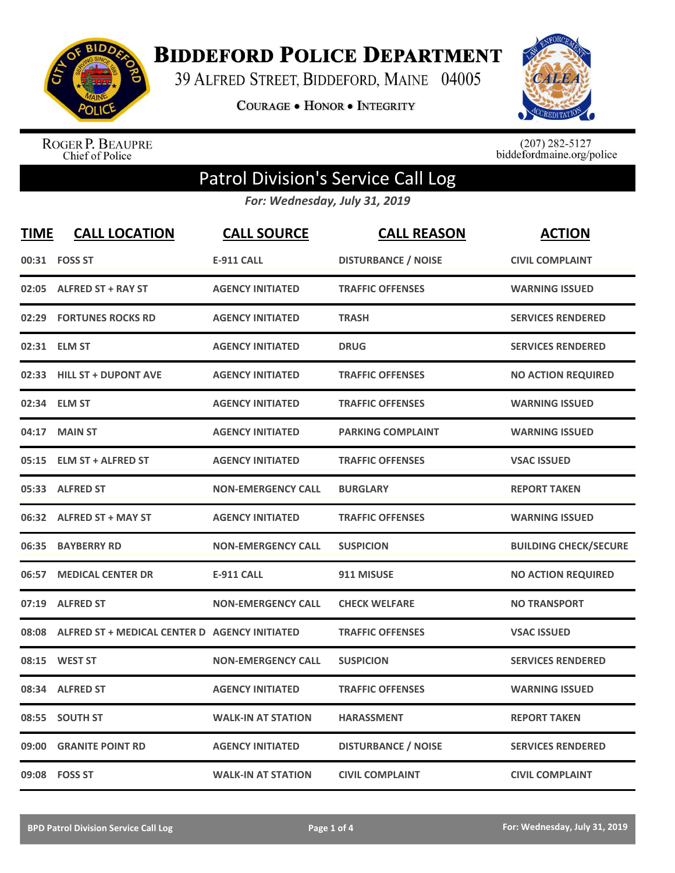

**BIDDEFORD POLICE DEPARTMENT** 

39 ALFRED STREET, BIDDEFORD, MAINE 04005

**COURAGE . HONOR . INTEGRITY** 



ROGER P. BEAUPRE<br>Chief of Police

 $(207)$  282-5127<br>biddefordmaine.org/police

## Patrol Division's Service Call Log

*For: Wednesday, July 31, 2019*

| <b>TIME</b> | <b>CALL LOCATION</b>                          | <b>CALL SOURCE</b>        | <b>CALL REASON</b>         | <b>ACTION</b>                |
|-------------|-----------------------------------------------|---------------------------|----------------------------|------------------------------|
|             | 00:31 FOSS ST                                 | <b>E-911 CALL</b>         | <b>DISTURBANCE / NOISE</b> | <b>CIVIL COMPLAINT</b>       |
|             | 02:05 ALFRED ST + RAY ST                      | <b>AGENCY INITIATED</b>   | <b>TRAFFIC OFFENSES</b>    | <b>WARNING ISSUED</b>        |
| 02:29       | <b>FORTUNES ROCKS RD</b>                      | <b>AGENCY INITIATED</b>   | <b>TRASH</b>               | <b>SERVICES RENDERED</b>     |
|             | 02:31 ELM ST                                  | <b>AGENCY INITIATED</b>   | <b>DRUG</b>                | <b>SERVICES RENDERED</b>     |
| 02:33       | <b>HILL ST + DUPONT AVE</b>                   | <b>AGENCY INITIATED</b>   | <b>TRAFFIC OFFENSES</b>    | <b>NO ACTION REQUIRED</b>    |
|             | 02:34 ELM ST                                  | <b>AGENCY INITIATED</b>   | <b>TRAFFIC OFFENSES</b>    | <b>WARNING ISSUED</b>        |
| 04:17       | <b>MAIN ST</b>                                | <b>AGENCY INITIATED</b>   | <b>PARKING COMPLAINT</b>   | <b>WARNING ISSUED</b>        |
|             | 05:15 ELM ST + ALFRED ST                      | <b>AGENCY INITIATED</b>   | <b>TRAFFIC OFFENSES</b>    | <b>VSAC ISSUED</b>           |
|             | 05:33 ALFRED ST                               | <b>NON-EMERGENCY CALL</b> | <b>BURGLARY</b>            | <b>REPORT TAKEN</b>          |
|             | 06:32 ALFRED ST + MAY ST                      | <b>AGENCY INITIATED</b>   | <b>TRAFFIC OFFENSES</b>    | <b>WARNING ISSUED</b>        |
|             | 06:35 BAYBERRY RD                             | <b>NON-EMERGENCY CALL</b> | <b>SUSPICION</b>           | <b>BUILDING CHECK/SECURE</b> |
| 06:57       | <b>MEDICAL CENTER DR</b>                      | <b>E-911 CALL</b>         | 911 MISUSE                 | <b>NO ACTION REQUIRED</b>    |
| 07:19       | <b>ALFRED ST</b>                              | <b>NON-EMERGENCY CALL</b> | <b>CHECK WELFARE</b>       | <b>NO TRANSPORT</b>          |
| 08:08       | ALFRED ST + MEDICAL CENTER D AGENCY INITIATED |                           | <b>TRAFFIC OFFENSES</b>    | <b>VSAC ISSUED</b>           |
| 08:15       | <b>WEST ST</b>                                | <b>NON-EMERGENCY CALL</b> | <b>SUSPICION</b>           | <b>SERVICES RENDERED</b>     |
|             | 08:34 ALFRED ST                               | <b>AGENCY INITIATED</b>   | <b>TRAFFIC OFFENSES</b>    | <b>WARNING ISSUED</b>        |
| 08:55       | <b>SOUTH ST</b>                               | <b>WALK-IN AT STATION</b> | <b>HARASSMENT</b>          | <b>REPORT TAKEN</b>          |
| 09:00       | <b>GRANITE POINT RD</b>                       | <b>AGENCY INITIATED</b>   | <b>DISTURBANCE / NOISE</b> | <b>SERVICES RENDERED</b>     |
|             | 09:08    FOSS ST                              | <b>WALK-IN AT STATION</b> | <b>CIVIL COMPLAINT</b>     | <b>CIVIL COMPLAINT</b>       |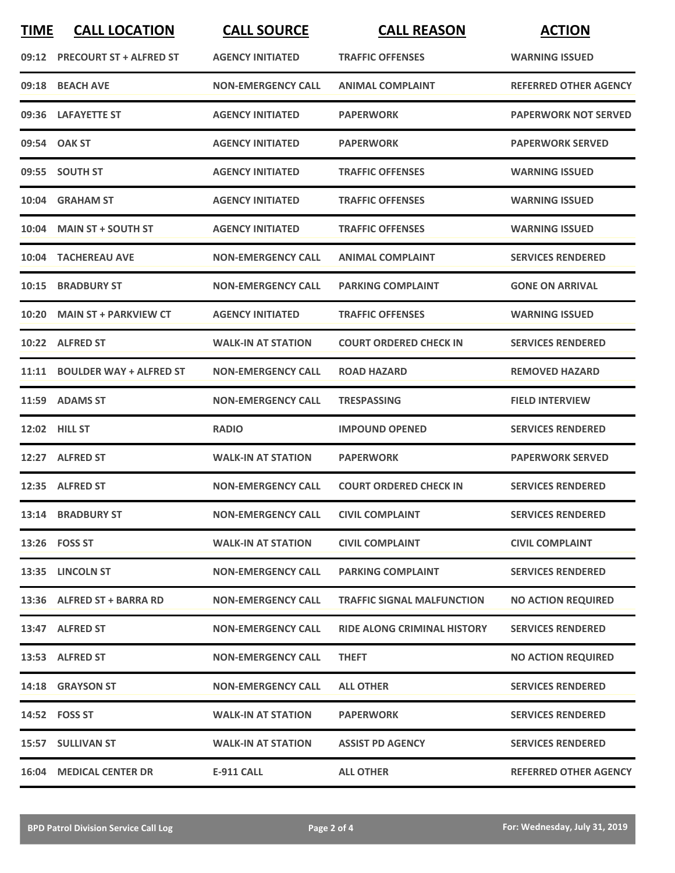| <b>TIME</b> | <b>CALL LOCATION</b>           | <b>CALL SOURCE</b>        | <b>CALL REASON</b>                 | <b>ACTION</b>                |
|-------------|--------------------------------|---------------------------|------------------------------------|------------------------------|
|             | 09:12 PRECOURT ST + ALFRED ST  | <b>AGENCY INITIATED</b>   | <b>TRAFFIC OFFENSES</b>            | <b>WARNING ISSUED</b>        |
|             | 09:18 BEACH AVE                | <b>NON-EMERGENCY CALL</b> | <b>ANIMAL COMPLAINT</b>            | <b>REFERRED OTHER AGENCY</b> |
|             | 09:36 LAFAYETTE ST             | <b>AGENCY INITIATED</b>   | <b>PAPERWORK</b>                   | <b>PAPERWORK NOT SERVED</b>  |
|             | 09:54 OAK ST                   | <b>AGENCY INITIATED</b>   | <b>PAPERWORK</b>                   | <b>PAPERWORK SERVED</b>      |
|             | 09:55 SOUTH ST                 | <b>AGENCY INITIATED</b>   | <b>TRAFFIC OFFENSES</b>            | <b>WARNING ISSUED</b>        |
|             | 10:04 GRAHAM ST                | <b>AGENCY INITIATED</b>   | <b>TRAFFIC OFFENSES</b>            | <b>WARNING ISSUED</b>        |
| 10:04       | <b>MAIN ST + SOUTH ST</b>      | <b>AGENCY INITIATED</b>   | <b>TRAFFIC OFFENSES</b>            | <b>WARNING ISSUED</b>        |
|             | 10:04 TACHEREAU AVE            | <b>NON-EMERGENCY CALL</b> | <b>ANIMAL COMPLAINT</b>            | <b>SERVICES RENDERED</b>     |
| 10:15       | <b>BRADBURY ST</b>             | <b>NON-EMERGENCY CALL</b> | <b>PARKING COMPLAINT</b>           | <b>GONE ON ARRIVAL</b>       |
|             | 10:20 MAIN ST + PARKVIEW CT    | <b>AGENCY INITIATED</b>   | <b>TRAFFIC OFFENSES</b>            | <b>WARNING ISSUED</b>        |
|             | 10:22 ALFRED ST                | <b>WALK-IN AT STATION</b> | <b>COURT ORDERED CHECK IN</b>      | <b>SERVICES RENDERED</b>     |
| 11:11       | <b>BOULDER WAY + ALFRED ST</b> | <b>NON-EMERGENCY CALL</b> | <b>ROAD HAZARD</b>                 | <b>REMOVED HAZARD</b>        |
|             | 11:59 ADAMS ST                 | <b>NON-EMERGENCY CALL</b> | <b>TRESPASSING</b>                 | <b>FIELD INTERVIEW</b>       |
|             | 12:02 HILL ST                  | <b>RADIO</b>              | <b>IMPOUND OPENED</b>              | <b>SERVICES RENDERED</b>     |
|             | 12:27 ALFRED ST                | <b>WALK-IN AT STATION</b> | <b>PAPERWORK</b>                   | <b>PAPERWORK SERVED</b>      |
|             | 12:35 ALFRED ST                | <b>NON-EMERGENCY CALL</b> | <b>COURT ORDERED CHECK IN</b>      | <b>SERVICES RENDERED</b>     |
|             | 13:14 BRADBURY ST              | <b>NON-EMERGENCY CALL</b> | <b>CIVIL COMPLAINT</b>             | <b>SERVICES RENDERED</b>     |
|             | 13:26    FOSS ST               | <b>WALK-IN AT STATION</b> | <b>CIVIL COMPLAINT</b>             | <b>CIVIL COMPLAINT</b>       |
|             | 13:35 LINCOLN ST               | <b>NON-EMERGENCY CALL</b> | <b>PARKING COMPLAINT</b>           | <b>SERVICES RENDERED</b>     |
|             | 13:36 ALFRED ST + BARRA RD     | <b>NON-EMERGENCY CALL</b> | <b>TRAFFIC SIGNAL MALFUNCTION</b>  | <b>NO ACTION REQUIRED</b>    |
|             | 13:47 ALFRED ST                | <b>NON-EMERGENCY CALL</b> | <b>RIDE ALONG CRIMINAL HISTORY</b> | <b>SERVICES RENDERED</b>     |
|             | 13:53 ALFRED ST                | <b>NON-EMERGENCY CALL</b> | <b>THEFT</b>                       | <b>NO ACTION REQUIRED</b>    |
|             | 14:18 GRAYSON ST               | <b>NON-EMERGENCY CALL</b> | <b>ALL OTHER</b>                   | <b>SERVICES RENDERED</b>     |
|             | 14:52 FOSS ST                  | <b>WALK-IN AT STATION</b> | <b>PAPERWORK</b>                   | <b>SERVICES RENDERED</b>     |
|             | 15:57 SULLIVAN ST              | <b>WALK-IN AT STATION</b> | <b>ASSIST PD AGENCY</b>            | <b>SERVICES RENDERED</b>     |
|             | <b>16:04 MEDICAL CENTER DR</b> | <b>E-911 CALL</b>         | <b>ALL OTHER</b>                   | <b>REFERRED OTHER AGENCY</b> |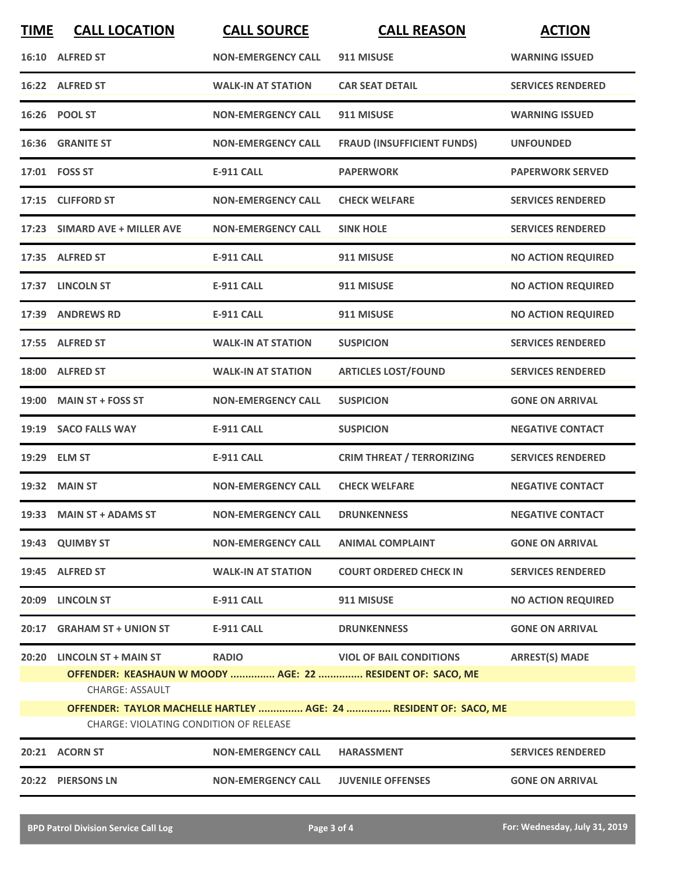| <b>TIME</b> | <b>CALL LOCATION</b>                                                                                        | <b>CALL SOURCE</b>        | <b>CALL REASON</b>                                                                           | <b>ACTION</b>             |  |
|-------------|-------------------------------------------------------------------------------------------------------------|---------------------------|----------------------------------------------------------------------------------------------|---------------------------|--|
|             | 16:10 ALFRED ST                                                                                             | <b>NON-EMERGENCY CALL</b> | 911 MISUSE                                                                                   | <b>WARNING ISSUED</b>     |  |
|             | 16:22 ALFRED ST                                                                                             | <b>WALK-IN AT STATION</b> | <b>CAR SEAT DETAIL</b>                                                                       | <b>SERVICES RENDERED</b>  |  |
|             | 16:26 POOL ST                                                                                               | <b>NON-EMERGENCY CALL</b> | 911 MISUSE                                                                                   | <b>WARNING ISSUED</b>     |  |
|             | 16:36 GRANITE ST                                                                                            | <b>NON-EMERGENCY CALL</b> | <b>FRAUD (INSUFFICIENT FUNDS)</b>                                                            | <b>UNFOUNDED</b>          |  |
|             | 17:01 FOSS ST                                                                                               | <b>E-911 CALL</b>         | <b>PAPERWORK</b>                                                                             | <b>PAPERWORK SERVED</b>   |  |
|             | 17:15 CLIFFORD ST                                                                                           | <b>NON-EMERGENCY CALL</b> | <b>CHECK WELFARE</b>                                                                         | <b>SERVICES RENDERED</b>  |  |
|             | 17:23 SIMARD AVE + MILLER AVE                                                                               | <b>NON-EMERGENCY CALL</b> | <b>SINK HOLE</b>                                                                             | <b>SERVICES RENDERED</b>  |  |
|             | 17:35 ALFRED ST                                                                                             | <b>E-911 CALL</b>         | 911 MISUSE                                                                                   | <b>NO ACTION REQUIRED</b> |  |
|             | 17:37 LINCOLN ST                                                                                            | <b>E-911 CALL</b>         | 911 MISUSE                                                                                   | <b>NO ACTION REQUIRED</b> |  |
|             | 17:39 ANDREWS RD                                                                                            | <b>E-911 CALL</b>         | 911 MISUSE                                                                                   | <b>NO ACTION REQUIRED</b> |  |
|             | 17:55 ALFRED ST                                                                                             | <b>WALK-IN AT STATION</b> | <b>SUSPICION</b>                                                                             | <b>SERVICES RENDERED</b>  |  |
|             | 18:00 ALFRED ST                                                                                             | <b>WALK-IN AT STATION</b> | <b>ARTICLES LOST/FOUND</b>                                                                   | <b>SERVICES RENDERED</b>  |  |
|             | 19:00 MAIN ST + FOSS ST                                                                                     | <b>NON-EMERGENCY CALL</b> | <b>SUSPICION</b>                                                                             | <b>GONE ON ARRIVAL</b>    |  |
|             | 19:19 SACO FALLS WAY                                                                                        | <b>E-911 CALL</b>         | <b>SUSPICION</b>                                                                             | <b>NEGATIVE CONTACT</b>   |  |
|             | 19:29 ELM ST                                                                                                | <b>E-911 CALL</b>         | <b>CRIM THREAT / TERRORIZING</b>                                                             | <b>SERVICES RENDERED</b>  |  |
|             | 19:32 MAIN ST                                                                                               | <b>NON-EMERGENCY CALL</b> | <b>CHECK WELFARE</b>                                                                         | <b>NEGATIVE CONTACT</b>   |  |
|             | 19:33 MAIN ST + ADAMS ST                                                                                    | <b>NON-EMERGENCY CALL</b> | <b>DRUNKENNESS</b>                                                                           | <b>NEGATIVE CONTACT</b>   |  |
|             | 19:43 QUIMBY ST                                                                                             | <b>NON-EMERGENCY CALL</b> | <b>ANIMAL COMPLAINT</b>                                                                      | <b>GONE ON ARRIVAL</b>    |  |
|             | 19:45 ALFRED ST                                                                                             | <b>WALK-IN AT STATION</b> | <b>COURT ORDERED CHECK IN</b>                                                                | <b>SERVICES RENDERED</b>  |  |
|             | 20:09 LINCOLN ST                                                                                            | <b>E-911 CALL</b>         | 911 MISUSE                                                                                   | <b>NO ACTION REQUIRED</b> |  |
|             | 20:17 GRAHAM ST + UNION ST                                                                                  | <b>E-911 CALL</b>         | <b>DRUNKENNESS</b>                                                                           | <b>GONE ON ARRIVAL</b>    |  |
|             | 20:20 LINCOLN ST + MAIN ST<br><b>CHARGE: ASSAULT</b>                                                        | <b>RADIO</b>              | <b>VIOL OF BAIL CONDITIONS</b><br>OFFENDER: KEASHAUN W MOODY  AGE: 22  RESIDENT OF: SACO, ME | <b>ARREST(S) MADE</b>     |  |
|             | OFFENDER: TAYLOR MACHELLE HARTLEY  AGE: 24  RESIDENT OF: SACO, ME<br>CHARGE: VIOLATING CONDITION OF RELEASE |                           |                                                                                              |                           |  |
|             | 20:21 ACORN ST                                                                                              | <b>NON-EMERGENCY CALL</b> | <b>HARASSMENT</b>                                                                            | <b>SERVICES RENDERED</b>  |  |
|             | 20:22 PIERSONS LN                                                                                           | <b>NON-EMERGENCY CALL</b> | <b>JUVENILE OFFENSES</b>                                                                     | <b>GONE ON ARRIVAL</b>    |  |